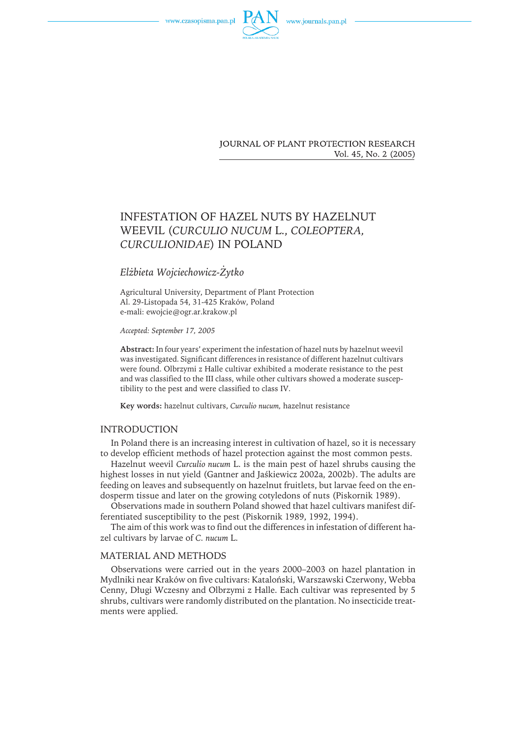www.czasopisma.pan.pl



**JOURNAL OF PLANT PROTECTION RESEARCH** Vol. 45, No. 2 (2005)

# INFESTATION OF HAZEL NUTS BY HAZELNUT WEEVIL (*CURCULIO NUCUM* L., *COLEOPTERA, CURCULIONIDAE*) IN POLAND

## *Elżbieta Wojciechowicz-Żytko*

Agricultural University, Department of Plant Protection Al. 29-Listopada 54, 31-425 Kraków, Poland e-mali: ewojcie@ogr.ar.krakow.pl

*Accepted: September 17, 2005*

**Abstract:** In four years' experiment the infestation of hazel nuts by hazelnut weevil was investigated. Significant differences in resistance of different hazelnut cultivars were found. Olbrzymi z Halle cultivar exhibited a moderate resistance to the pest and was classified to the III class, while other cultivars showed a moderate susceptibility to the pest and were classified to class IV.

**Key words:** hazelnut cultivars, *Curculio nucum,* hazelnut resistance

## INTRODUCTION

In Poland there is an increasing interest in cultivation of hazel, so it is necessary to develop efficient methods of hazel protection against the most common pests.

Hazelnut weevil *Curculio nucum* L. is the main pest of hazel shrubs causing the highest losses in nut yield (Gantner and Jaśkiewicz 2002a, 2002b). The adults are feeding on leaves and subsequently on hazelnut fruitlets, but larvae feed on the endosperm tissue and later on the growing cotyledons of nuts (Piskornik 1989).

Observations made in southern Poland showed that hazel cultivars manifest differentiated susceptibility to the pest (Piskornik 1989, 1992, 1994).

The aim of this work was to find out the differences in infestation of different hazel cultivars by larvae of *C. nucum* L.

## MATERIAL AND METHODS

Observations were carried out in the years 2000–2003 on hazel plantation in Mydlniki near Kraków on five cultivars: Kataloński, Warszawski Czerwony, Webba Cenny, Długi Wczesny and Olbrzymi z Halle. Each cultivar was represented by 5 shrubs, cultivars were randomly distributed on the plantation. No insecticide treatments were applied.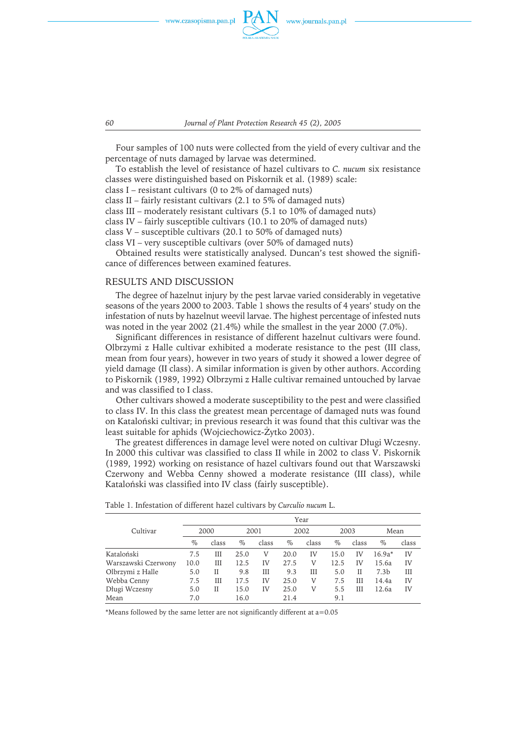www.czasopisma.pan.pl



*60 Journal of Plant Protection Research 45 (2), 2005*

Four samples of 100 nuts were collected from the yield of every cultivar and the percentage of nuts damaged by larvae was determined.

To establish the level of resistance of hazel cultivars to *C. nucum* six resistance classes were distinguished based on Piskornik et al. (1989) scale:

class I – resistant cultivars (0 to 2% of damaged nuts)

class II – fairly resistant cultivars (2.1 to 5% of damaged nuts)

class III – moderately resistant cultivars (5.1 to 10% of damaged nuts)

class IV – fairly susceptible cultivars (10.1 to 20% of damaged nuts)

class V – susceptible cultivars (20.1 to 50% of damaged nuts)

class VI – very susceptible cultivars (over 50% of damaged nuts)

Obtained results were statistically analysed. Duncan's test showed the significance of differences between examined features.

## RESULTS AND DISCUSSION

The degree of hazelnut injury by the pest larvae varied considerably in vegetative seasons of the years 2000 to 2003. Table 1 shows the results of 4 years' study on the infestation of nuts by hazelnut weevil larvae. The highest percentage of infested nuts was noted in the year 2002 (21.4%) while the smallest in the year 2000 (7.0%).

Significant differences in resistance of different hazelnut cultivars were found. Olbrzymi z Halle cultivar exhibited a moderate resistance to the pest (III class, mean from four years), however in two years of study it showed a lower degree of yield damage (II class). A similar information is given by other authors. According to Piskornik (1989, 1992) Olbrzymi z Halle cultivar remained untouched by larvae and was classified to I class.

Other cultivars showed a moderate susceptibility to the pest and were classified to class IV. In this class the greatest mean percentage of damaged nuts was found onKataloński cultivar; inprevious research it was found that this cultivar was the least suitable for aphids (Wojciechowicz-Żytko 2003).

The greatest differences in damage level were noted on cultivar Długi Wczesny. In2000 this cultivar was classified to class II while in2002 to class V. Piskornik (1989, 1992) working on resistance of hazel cultivars found out that Warszawski Czerwony and Webba Cenny showed a moderate resistance (III class), while Kataloński was classified into IV class (fairly susceptible).

|                     | Year |       |      |       |      |       |      |       |                  |       |
|---------------------|------|-------|------|-------|------|-------|------|-------|------------------|-------|
| Cultivar            | 2000 |       | 2001 |       | 2002 |       | 2003 |       | Mean             |       |
|                     | $\%$ | class | $\%$ | class | $\%$ | class | $\%$ | class | $\%$             | class |
| Kataloński          | 7.5  | Ш     | 25.0 | V     | 20.0 | IV    | 15.0 | IV    | $16.9a*$         | IV    |
| Warszawski Czerwony | 10.0 | Ш     | 12.5 | IV    | 27.5 | V     | 12.5 | IV    | 15.6a            | IV    |
| Olbrzymi z Halle    | 5.0  | П     | 9.8  | Ш     | 9.3  | Ш     | 5.0  | Н     | 7.3 <sub>b</sub> | Ш     |
| Webba Cenny         | 7.5  | Ш     | 17.5 | IV    | 25.0 | V     | 7.5  | Ш     | 14.4a            | IV    |
| Długi Wczesny       | 5.0  | Н     | 15.0 | IV    | 25.0 | V     | 5.5  | Ш     | 12.6a            | IV    |
| Mean                | 7.0  |       | 16.0 |       | 21.4 |       | 9.1  |       |                  |       |

Table 1. Infestation of different hazel cultivars by *Curculio nucum* L.

\*Means followed by the same letter are not significantly different at a=0.05